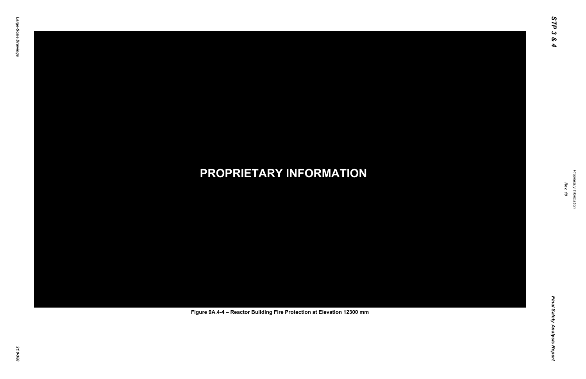Final Safety Analysis Report *Final Safety Analysis Report*



Proprietary Information *Proprietary Information*

# *21.0-388* **PROPRIETARY INFORMATION Figure 9A.4-4 – Reactor Building Fire Protection at Elevation 12300 mm**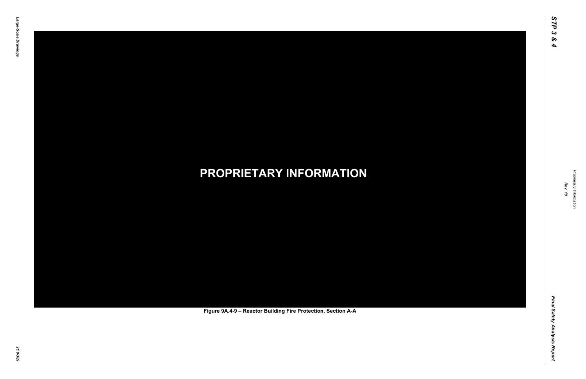Final Safety Analysis Report *Final Safety Analysis Report*



Proprietary Information *Proprietary Information*

# *21.0-389* **PROPRIETARY INFORMATION Figure 9A.4-9 – Reactor Building Fire Protection, Section A-A**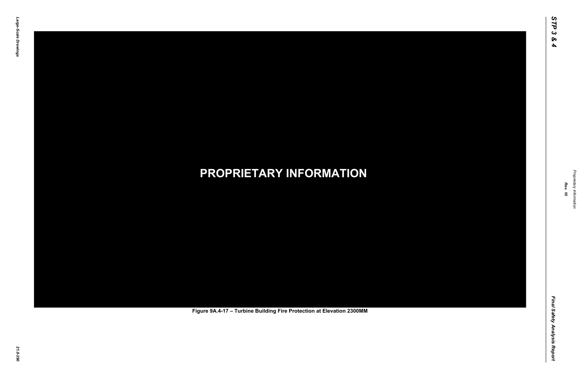Final Safety Analysis Report *Final Safety Analysis Report*



Proprietary Information *Proprietary Information*

# *21.0-390* **PROPRIETARY INFORMATION Figure 9A.4-17 – Turbine Building Fire Protection at Elevation 2300MM**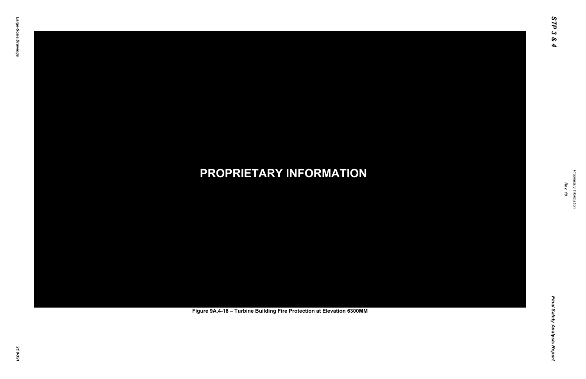Final Safety Analysis Report *Final Safety Analysis Report*



Proprietary Information *Proprietary Information*

# *21.0-391* **PROPRIETARY INFORMATION Figure 9A.4-18 – Turbine Building Fire Protection at Elevation 6300MM**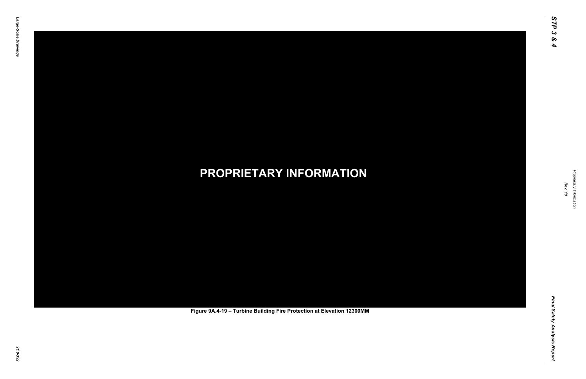Final Safety Analysis Report *Final Safety Analysis Report*



Proprietary Information *Proprietary Information*

# *21.0-392* **PROPRIETARY INFORMATION Figure 9A.4-19 – Turbine Building Fire Protection at Elevation 12300MM**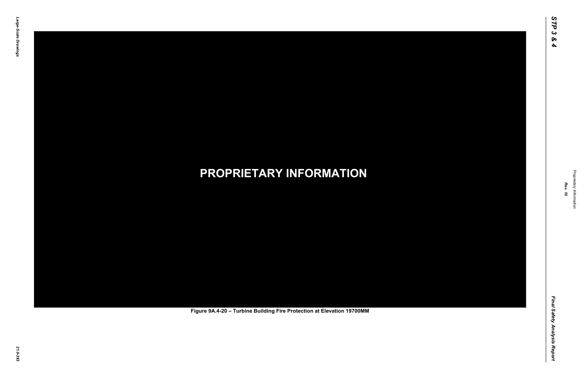Final Safety Analysis Report *Final Safety Analysis Report*



Proprietary Information *Proprietary Information*

# *21.0-393* **PROPRIETARY INFORMATION Figure 9A.4-20 – Turbine Building Fire Protection at Elevation 19700MM**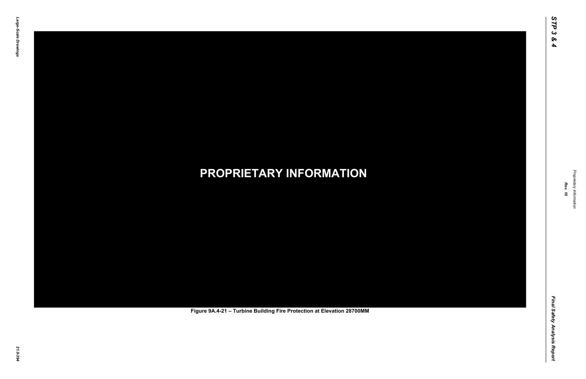Final Safety Analysis Report *Final Safety Analysis Report*



Proprietary Information *Proprietary Information*

# *21.0-394* **PROPRIETARY INFORMATION Figure 9A.4-21 – Turbine Building Fire Protection at Elevation 28700MM**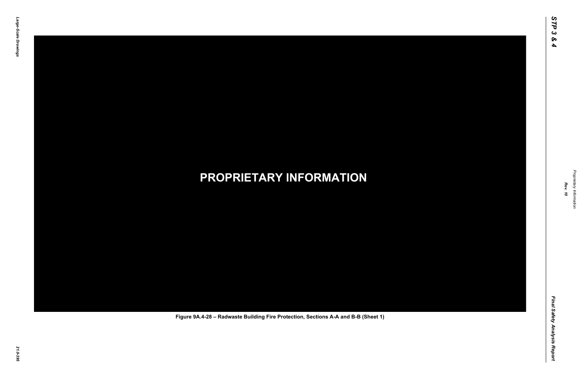Final Safety Analysis Report *Final Safety Analysis Report*



Proprietary Information *Proprietary Information*

### *21.0-395* **PROPRIETARY INFORMATION Figure 9A.4-28 – Radwaste Building Fire Protection, Sections A-A and B-B (Sheet 1)**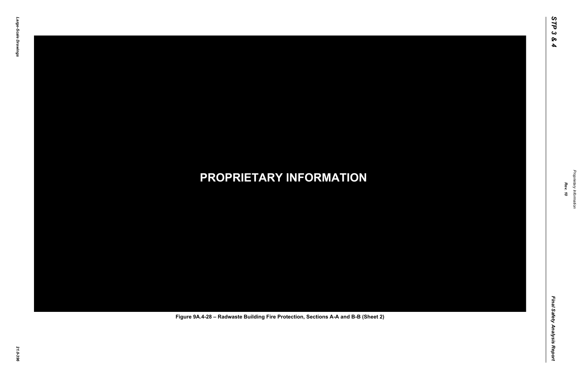Final Safety Analysis Report *Final Safety Analysis Report*



Proprietary Information *Proprietary Information*

### *21.0-396* **PROPRIETARY INFORMATION Figure 9A.4-28 – Radwaste Building Fire Protection, Sections A-A and B-B (Sheet 2)**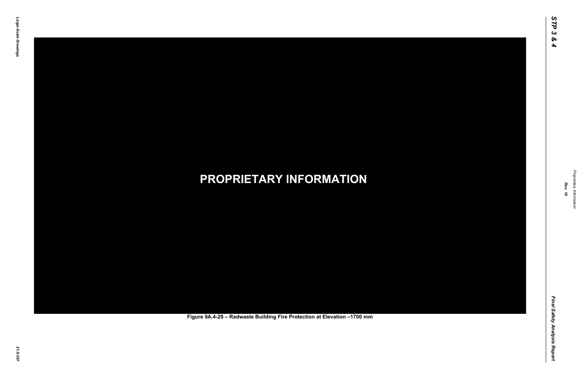Final Safety Analysis Report *Final Safety Analysis Report*



Proprietary Information *Proprietary Information*

### *21.0-397* **PROPRIETARY INFORMATION Figure 9A.4-29 – Radwaste Building Fire Protection at Elevation –1700 mm**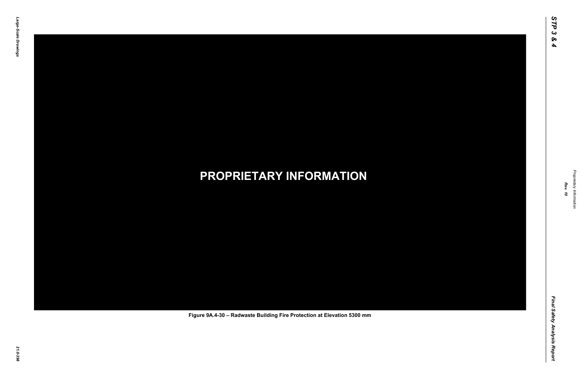Final Safety Analysis Report *Final Safety Analysis Report*



Proprietary Information *Proprietary Information*

### *21.0-398* **PROPRIETARY INFORMATION Figure 9A.4-30 – Radwaste Building Fire Protection at Elevation 5300 mm**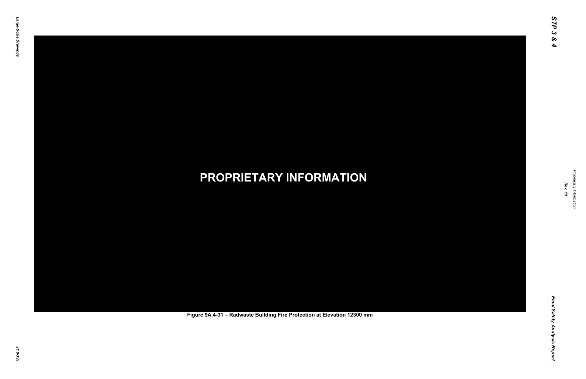Final Safety Analysis Report *Final Safety Analysis Report*

![](_page_11_Picture_7.jpeg)

Proprietary Information *Proprietary Information*

### *21.0-399* **PROPRIETARY INFORMATION Figure 9A.4-31 – Radwaste Building Fire Protection at Elevation 12300 mm**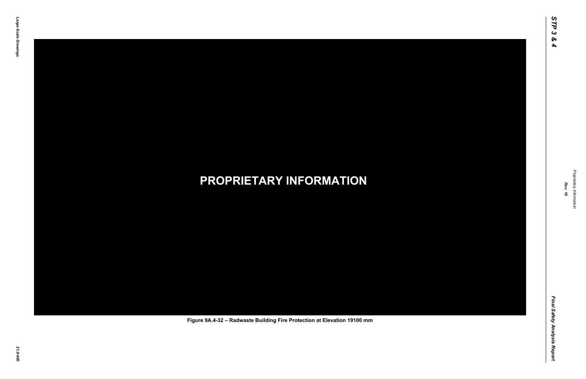Final Safety Analysis Report *Final Safety Analysis Report*

![](_page_12_Picture_7.jpeg)

Proprietary Information *Proprietary Information*

#### *21.0-400* **PROPRIETARY INFORMATION Figure 9A.4-32 – Radwaste Building Fire Protection at Elevation 19100 mm**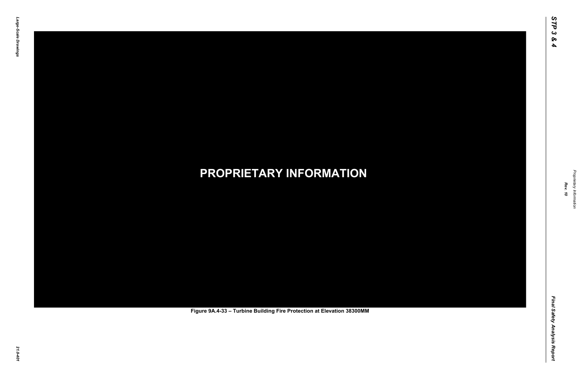Final Safety Analysis Report *Final Safety Analysis Report*

![](_page_13_Picture_7.jpeg)

Proprietary Information *Proprietary Information*

# *21.0-401* **PROPRIETARY INFORMATION Figure 9A.4-33 – Turbine Building Fire Protection at Elevation 38300MM**